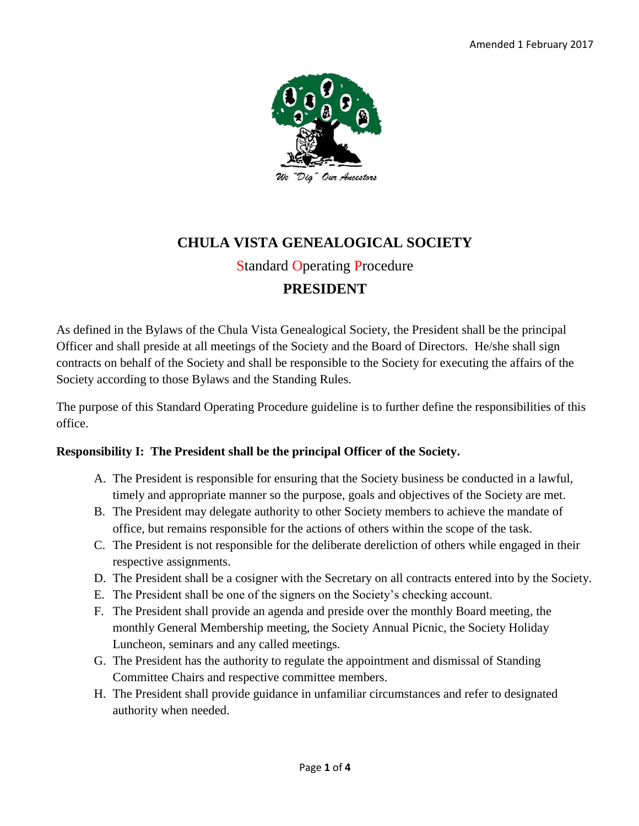

### **CHULA VISTA GENEALOGICAL SOCIETY** Standard Operating Procedure

# **PRESIDENT**

As defined in the Bylaws of the Chula Vista Genealogical Society, the President shall be the principal Officer and shall preside at all meetings of the Society and the Board of Directors. He/she shall sign contracts on behalf of the Society and shall be responsible to the Society for executing the affairs of the Society according to those Bylaws and the Standing Rules.

The purpose of this Standard Operating Procedure guideline is to further define the responsibilities of this office.

#### **Responsibility I: The President shall be the principal Officer of the Society.**

- A. The President is responsible for ensuring that the Society business be conducted in a lawful, timely and appropriate manner so the purpose, goals and objectives of the Society are met.
- B. The President may delegate authority to other Society members to achieve the mandate of office, but remains responsible for the actions of others within the scope of the task.
- C. The President is not responsible for the deliberate dereliction of others while engaged in their respective assignments.
- D. The President shall be a cosigner with the Secretary on all contracts entered into by the Society.
- E. The President shall be one of the signers on the Society's checking account.
- F. The President shall provide an agenda and preside over the monthly Board meeting, the monthly General Membership meeting, the Society Annual Picnic, the Society Holiday Luncheon, seminars and any called meetings.
- G. The President has the authority to regulate the appointment and dismissal of Standing Committee Chairs and respective committee members.
- H. The President shall provide guidance in unfamiliar circumstances and refer to designated authority when needed.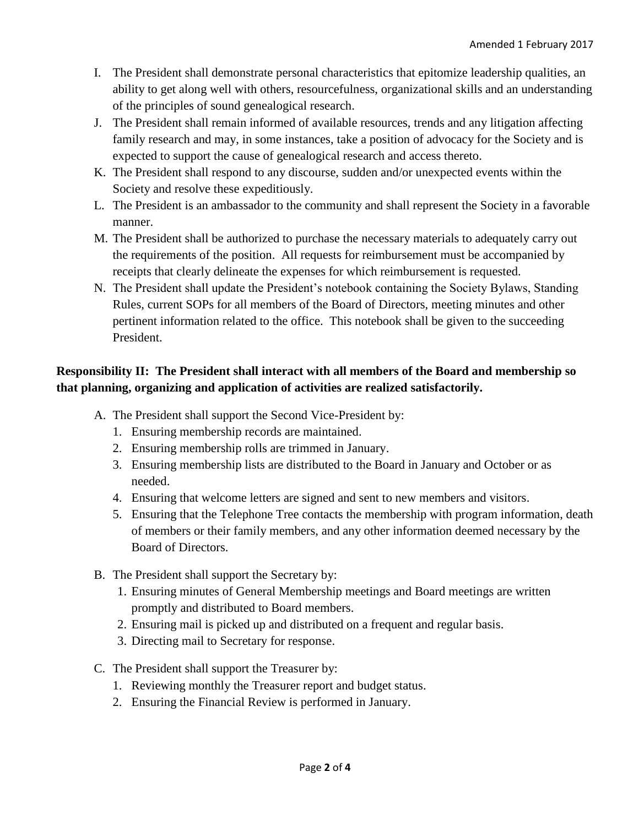- I. The President shall demonstrate personal characteristics that epitomize leadership qualities, an ability to get along well with others, resourcefulness, organizational skills and an understanding of the principles of sound genealogical research.
- J. The President shall remain informed of available resources, trends and any litigation affecting family research and may, in some instances, take a position of advocacy for the Society and is expected to support the cause of genealogical research and access thereto.
- K. The President shall respond to any discourse, sudden and/or unexpected events within the Society and resolve these expeditiously.
- L. The President is an ambassador to the community and shall represent the Society in a favorable manner.
- M. The President shall be authorized to purchase the necessary materials to adequately carry out the requirements of the position. All requests for reimbursement must be accompanied by receipts that clearly delineate the expenses for which reimbursement is requested.
- N. The President shall update the President's notebook containing the Society Bylaws, Standing Rules, current SOPs for all members of the Board of Directors, meeting minutes and other pertinent information related to the office. This notebook shall be given to the succeeding President.

#### **Responsibility II: The President shall interact with all members of the Board and membership so that planning, organizing and application of activities are realized satisfactorily.**

- A. The President shall support the Second Vice-President by:
	- 1. Ensuring membership records are maintained.
	- 2. Ensuring membership rolls are trimmed in January.
	- 3. Ensuring membership lists are distributed to the Board in January and October or as needed.
	- 4. Ensuring that welcome letters are signed and sent to new members and visitors.
	- 5. Ensuring that the Telephone Tree contacts the membership with program information, death of members or their family members, and any other information deemed necessary by the Board of Directors.
- B. The President shall support the Secretary by:
	- 1. Ensuring minutes of General Membership meetings and Board meetings are written promptly and distributed to Board members.
	- 2. Ensuring mail is picked up and distributed on a frequent and regular basis.
	- 3. Directing mail to Secretary for response.
- C. The President shall support the Treasurer by:
	- 1. Reviewing monthly the Treasurer report and budget status.
	- 2. Ensuring the Financial Review is performed in January.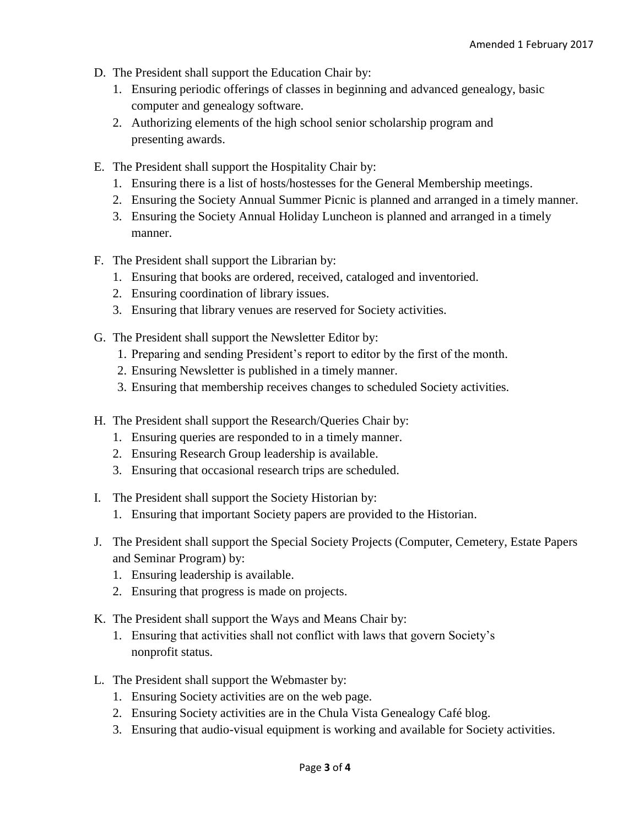- D. The President shall support the Education Chair by:
	- 1. Ensuring periodic offerings of classes in beginning and advanced genealogy, basic computer and genealogy software.
	- 2. Authorizing elements of the high school senior scholarship program and presenting awards.
- E. The President shall support the Hospitality Chair by:
	- 1. Ensuring there is a list of hosts/hostesses for the General Membership meetings.
	- 2. Ensuring the Society Annual Summer Picnic is planned and arranged in a timely manner.
	- 3. Ensuring the Society Annual Holiday Luncheon is planned and arranged in a timely manner.
- F. The President shall support the Librarian by:
	- 1. Ensuring that books are ordered, received, cataloged and inventoried.
	- 2. Ensuring coordination of library issues.
	- 3. Ensuring that library venues are reserved for Society activities.
- G. The President shall support the Newsletter Editor by:
	- 1. Preparing and sending President's report to editor by the first of the month.
	- 2. Ensuring Newsletter is published in a timely manner.
	- 3. Ensuring that membership receives changes to scheduled Society activities.
- H. The President shall support the Research/Queries Chair by:
	- 1. Ensuring queries are responded to in a timely manner.
	- 2. Ensuring Research Group leadership is available.
	- 3. Ensuring that occasional research trips are scheduled.
- I. The President shall support the Society Historian by:
	- 1. Ensuring that important Society papers are provided to the Historian.
- J. The President shall support the Special Society Projects (Computer, Cemetery, Estate Papers and Seminar Program) by:
	- 1. Ensuring leadership is available.
	- 2. Ensuring that progress is made on projects.
- K. The President shall support the Ways and Means Chair by:
	- 1. Ensuring that activities shall not conflict with laws that govern Society's nonprofit status.
- L. The President shall support the Webmaster by:
	- 1. Ensuring Society activities are on the web page.
	- 2. Ensuring Society activities are in the Chula Vista Genealogy Café blog.
	- 3. Ensuring that audio-visual equipment is working and available for Society activities.